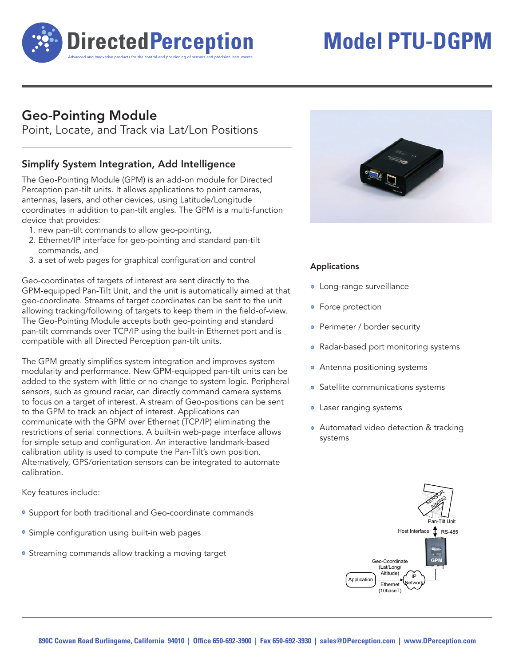

# **Model PTU-DGPM**

## Geo-Pointing Module

Point, Locate, and Track via Lat/Lon Positions

### Simplify System Integration, Add Intelligence

The Geo-Pointing Module (GPM) is an add-on module for Directed Perception pan-tilt units. It allows applications to point cameras, antennas, lasers, and other devices, using Latitude/Longitude coordinates in addition to pan-tilt angles. The GPM is a multi-function device that provides:

- 1. new pan-tilt commands to allow geo-pointing,
- 2. Ethernet/IP interface for geo-pointing and standard pan-tilt commands, and
- 3. a set of web pages for graphical configuration and control

Geo-coordinates of targets of interest are sent directly to the GPM-equipped Pan-Tilt Unit, and the unit is automatically aimed at that geo-coordinate. Streams of target coordinates can be sent to the unit allowing tracking/following of targets to keep them in the field-of-view. The Geo-Pointing Module accepts both geo-pointing and standard pan-tilt commands over TCP/IP using the built-in Ethernet port and is compatible with all Directed Perception pan-tilt units.

The GPM greatly simplifies system integration and improves system modularity and performance. New GPM-equipped pan-tilt units can be added to the system with little or no change to system logic. Peripheral sensors, such as ground radar, can directly command camera systems to focus on a target of interest. A stream of Geo-positions can be sent to the GPM to track an object of interest. Applications can communicate with the GPM over Ethernet (TCP/IP) eliminating the restrictions of serial connections. A built-in web-page interface allows for simple setup and configuration. An interactive landmark-based calibration utility is used to compute the Pan-Tilt's own position. Alternatively, GPS/orientation sensors can be integrated to automate calibration.

Key features include:

- Support for both traditional and Geo-coordinate commands
- Simple configuration using built-in web pages
- Streaming commands allow tracking a moving target



#### Applications

- Long-range surveillance
- Force protection
- Perimeter / border security
- Radar-based port monitoring systems
- Antenna positioning systems
- Satellite communications systems
- Laser ranging systems
- Automated video detection & tracking systems